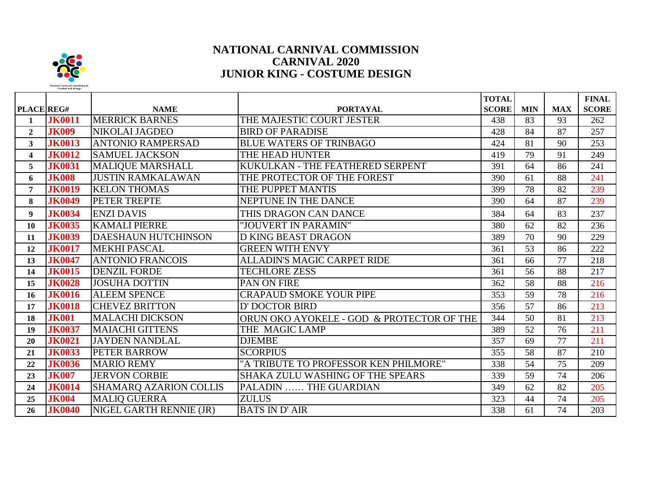

## **NATIONAL CARNIVAL COMMISSION CARNIVAL 2020 JUNIOR KING - COSTUME DESIGN**

| PLACE REG#              |               | <b>NAME</b>                   | <b>PORTAYAL</b>                           | <b>TOTAL</b><br><b>SCORE</b> | <b>MIN</b> | <b>MAX</b> | <b>FINAL</b><br><b>SCORE</b> |
|-------------------------|---------------|-------------------------------|-------------------------------------------|------------------------------|------------|------------|------------------------------|
| 1                       | <b>JK0011</b> | <b>MERRICK BARNES</b>         | THE MAJESTIC COURT JESTER                 | 438                          | 83         | 93         | 262                          |
| $\overline{2}$          | <b>JK009</b>  | NIKOLAI JAGDEO                | <b>BIRD OF PARADISE</b>                   | 428                          | 84         | 87         | 257                          |
| $\mathbf{3}$            | <b>JK0013</b> | <b>ANTONIO RAMPERSAD</b>      | <b>BLUE WATERS OF TRINBAGO</b>            | 424                          | 81         | 90         | 253                          |
| $\overline{\mathbf{4}}$ | <b>JK0012</b> | <b>SAMUEL JACKSON</b>         | THE HEAD HUNTER                           | 419                          | 79         | 91         | 249                          |
| 5                       | <b>JK0031</b> | <b>MALIQUE MARSHALL</b>       | KUKULKAN - THE FEATHERED SERPENT          | 391                          | 64         | 86         | 241                          |
| 6                       | <b>JK008</b>  | <b>JUSTIN RAMKALAWAN</b>      | THE PROTECTOR OF THE FOREST               | 390                          | 61         | 88         | 241                          |
| $\overline{7}$          | <b>JK0019</b> | <b>KELON THOMAS</b>           | THE PUPPET MANTIS                         | 399                          | 78         | 82         | 239                          |
| 8                       | <b>JK0049</b> | PETER TREPTE                  | NEPTUNE IN THE DANCE                      | 390                          | 64         | 87         | 239                          |
| $\boldsymbol{9}$        | <b>JK0034</b> | <b>ENZI DAVIS</b>             | THIS DRAGON CAN DANCE                     | 384                          | 64         | 83         | 237                          |
| <b>10</b>               | <b>JK0035</b> | <b>KAMALI PIERRE</b>          | "JOUVERT IN PARAMIN"                      | 380                          | 62         | 82         | 236                          |
| 11                      | <b>JK0039</b> | <b>DAESHAUN HUTCHINSON</b>    | <b>D KING BEAST DRAGON</b>                | 389                          | 70         | 90         | 229                          |
| 12                      | <b>JK0017</b> | <b>MEKHI PASCAL</b>           | <b>GREEN WITH ENVY</b>                    | 361                          | 53         | 86         | 222                          |
| 13                      | <b>JK0047</b> | <b>ANTONIO FRANCOIS</b>       | <b>ALLADIN'S MAGIC CARPET RIDE</b>        | 361                          | 66         | 77         | 218                          |
| 14                      | <b>JK0015</b> | <b>DENZIL FORDE</b>           | <b>TECHLORE ZESS</b>                      | 361                          | 56         | 88         | 217                          |
| 15                      | <b>JK0028</b> | <b>JOSUHA DOTTIN</b>          | PAN ON FIRE                               | 362                          | 58         | 88         | 216                          |
| 16                      | <b>JK0016</b> | <b>ALEEM SPENCE</b>           | <b>CRAPAUD SMOKE YOUR PIPE</b>            | 353                          | 59         | 78         | 216                          |
| 17                      | <b>JK0018</b> | <b>CHEVEZ BRITTON</b>         | D' DOCTOR BIRD                            | 356                          | 57         | 86         | 213                          |
| 18                      | <b>JK001</b>  | <b>MALACHI DICKSON</b>        | ORUN OKO AYOKELE - GOD & PROTECTOR OF THE | 344                          | 50         | 81         | 213                          |
| 19                      | <b>JK0037</b> | <b>MAIACHI GITTENS</b>        | THE MAGIC LAMP                            | 389                          | 52         | 76         | 211                          |
| 20                      | <b>JK0021</b> | <b>JAYDEN NANDLAL</b>         | <b>DJEMBE</b>                             | 357                          | 69         | 77         | 211                          |
| 21                      | <b>JK0033</b> | <b>PETER BARROW</b>           | <b>SCORPIUS</b>                           | 355                          | 58         | 87         | 210                          |
| 22                      | <b>JK0036</b> | <b>MARIO REMY</b>             | "A TRIBUTE TO PROFESSOR KEN PHILMORE"     | 338                          | 54         | 75         | 209                          |
| 23                      | <b>JK007</b>  | <b>JERVON CORBIE</b>          | <b>SHAKA ZULU WASHING OF THE SPEARS</b>   | 339                          | 59         | 74         | 206                          |
| 24                      | <b>JK0014</b> | <b>SHAMARQ AZARION COLLIS</b> | PALADIN  THE GUARDIAN                     | 349                          | 62         | 82         | 205                          |
| 25                      | <b>JK004</b>  | <b>MALIQ GUERRA</b>           | <b>ZULUS</b>                              | 323                          | 44         | 74         | 205                          |
| 26                      | <b>JK0040</b> | NIGEL GARTH RENNIE (JR)       | <b>BATS IN D'AIR</b>                      | 338                          | 61         | 74         | 203                          |